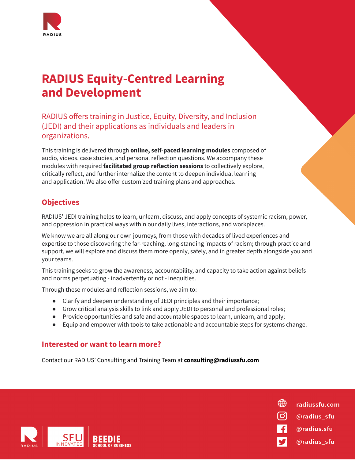

# **RADIUS Equity-Centred Learning and Development**

RADIUS offers training in Justice, Equity, Diversity, and Inclusion (JEDI) and their applications as individuals and leaders in organizations.

This training is delivered through **online, self-paced learning modules** composed of audio, videos, case studies, and personal reflection questions. We accompany these modules with required **facilitated group reflection sessions** to collectively explore, critically reflect, and further internalize the content to deepen individual learning and application. We also offer customized training plans and approaches.

# **Objectives**

RADIUS' JEDI training helps to learn, unlearn, discuss, and apply concepts of systemic racism, power, and oppression in practical ways within our daily lives, interactions, and workplaces.

We know we are all along our own journeys, from those with decades of lived experiences and expertise to those discovering the far-reaching, long-standing impacts of racism; through practice and support, we will explore and discuss them more openly, safely, and in greater depth alongside you and your teams.

This training seeks to grow the awareness, accountability, and capacity to take action against beliefs and norms perpetuating - inadvertently or not - inequities.

Through these modules and reflection sessions, we aim to:

- Clarify and deepen understanding of JEDI principles and their importance;
- Grow critical analysis skills to link and apply JEDI to personal and professional roles;
- Provide opportunities and safe and accountable spaces to learn, unlearn, and apply;
- Equip and empower with tools to take actionable and accountable steps for systems change.

@radius sfu

@radius\_sfu

@radius.sfu

radiussfu.com

∰

တြ

# **Interested or want to learn more?**

Contact our RADIUS' Consulting and Training Team at **consulting@radiussfu.com**

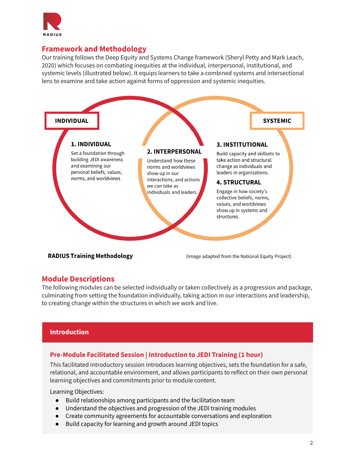

#### **Framework and Methodology**

Our training follows the Deep Equity and Systems Change framework (Sheryl Petty and Mark Leach, 2020) which focuses on combating inequities at the individual, interpersonal, institutional, and systemic levels (illustrated below). It equips learners to take a combined systems and intersectional lens to examine and take action against forms of oppression and systemic inequities.



#### **RADIUS Training Methodology**

(Image adapted from the National Equity Project)

#### **Module Descriptions**

The following modules can be selected individually or taken collectively as a progression and package, culminating from setting the foundation individually, taking action in our interactions and leadership, to creating change within the structures in which we work and live.

#### **Introduction**

#### **Pre-Module Facilitated Session | Introduction to JEDI Training (1 hour)**

This facilitated introductory session introduces learning objectives, sets the foundation for a safe, relational, and accountable environment, and allows participants to reflect on their own personal learning objectives and commitments prior to module content.

- Build relationships among participants and the facilitation team
- Understand the objectives and progression of the JEDI training modules
- Create community agreements for accountable conversations and exploration
- Build capacity for learning and growth around JEDI topics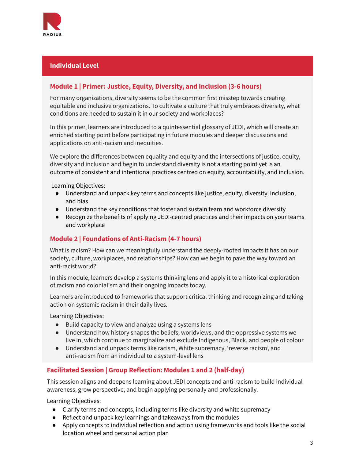

#### **Individual Level**

#### **Module 1 | Primer: Justice, Equity, Diversity, and Inclusion (3-6 hours)**

For many organizations, diversity seems to be the common first misstep towards creating equitable and inclusive organizations. To cultivate a culture that truly embraces diversity, what conditions are needed to sustain it in our society and workplaces?

In this primer, learners are introduced to a quintessential glossary of JEDI, which will create an enriched starting point before participating in future modules and deeper discussions and applications on anti-racism and inequities.

We explore the differences between equality and equity and the intersections of justice, equity, diversity and inclusion and begin to understand diversity is not a starting point yet is an outcome of consistent and intentional practices centred on equity, accountability, and inclusion.

Learning Objectives:

- Understand and unpack key terms and concepts like justice, equity, diversity, inclusion, and bias
- Understand the key conditions that foster and sustain team and workforce diversity
- Recognize the benefits of applying JEDI-centred practices and their impacts on your teams and workplace

#### **Module 2 | Foundations of Anti-Racism (4-7 hours)**

What is racism? How can we meaningfully understand the deeply-rooted impacts it has on our society, culture, workplaces, and relationships? How can we begin to pave the way toward an anti-racist world?

In this module, learners develop a systems thinking lens and apply it to a historical exploration of racism and colonialism and their ongoing impacts today.

Learners are introduced to frameworks that support critical thinking and recognizing and taking action on systemic racism in their daily lives.

Learning Objectives:

- Build capacity to view and analyze using a systems lens
- Understand how history shapes the beliefs, worldviews, and the oppressive systems we live in, which continue to marginalize and exclude Indigenous, Black, and people of colour
- Understand and unpack terms like racism, White supremacy, 'reverse racism', and anti-racism from an individual to a system-level lens

## **Facilitated Session | Group Reflection: Modules 1 and 2 (half-day)**

This session aligns and deepens learning about JEDI concepts and anti-racism to build individual awareness, grow perspective, and begin applying personally and professionally.

- Clarify terms and concepts, including terms like diversity and white supremacy
- Reflect and unpack key learnings and takeaways from the modules
- Apply concepts to individual reflection and action using frameworks and tools like the social location wheel and personal action plan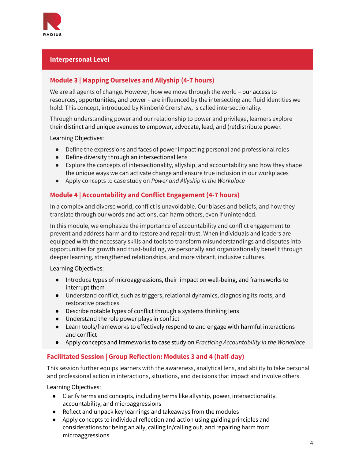

## **Interpersonal Level**

## **Module 3 | Mapping Ourselves and Allyship (4-7 hours)**

We are all agents of change. However, how we move through the world – our access to resources, opportunities, and power – are influenced by the intersecting and fluid identities we hold. This concept, introduced by Kimberlé Crenshaw, is called intersectionality.

Through understanding power and our relationship to power and privilege, learners explore their distinct and unique avenues to empower, advocate, lead, and (re)distribute power.

Learning Objectives:

- Define the expressions and faces of power impacting personal and professional roles
- Define diversity through an intersectional lens
- Explore the concepts of intersectionality, allyship, and accountability and how they shape the unique ways we can activate change and ensure true inclusion in our workplaces
- Apply concepts to case study on *Power and Allyship in the Workplace*

#### **Module 4 | Accountability and Conflict Engagement (4-7 hours)**

In a complex and diverse world, conflict is unavoidable. Our biases and beliefs, and how they translate through our words and actions, can harm others, even if unintended.

In this module, we emphasize the importance of accountability and conflict engagement to prevent and address harm and to restore and repair trust. When individuals and leaders are equipped with the necessary skills and tools to transform misunderstandings and disputes into opportunities for growth and trust-building, we personally and organizationally benefit through deeper learning, strengthened relationships, and more vibrant, inclusive cultures.

Learning Objectives:

- Introduce types of microaggressions, their impact on well-being, and frameworks to interrupt them
- Understand conflict, such as triggers, relational dynamics, diagnosing its roots, and restorative practices
- Describe notable types of conflict through a systems thinking lens
- Understand the role power plays in conflict
- Learn tools/frameworks to effectively respond to and engage with harmful interactions and conflict
- Apply concepts and frameworks to case study on *Practicing Accountability in the Workplace*

#### **Facilitated Session | Group Reflection: Modules 3 and 4 (half-day)**

This session further equips learners with the awareness, analytical lens, and ability to take personal and professional action in interactions, situations, and decisions that impact and involve others.

- Clarify terms and concepts, including terms like allyship, power, intersectionality, accountability, and microaggressions
- Reflect and unpack key learnings and takeaways from the modules
- Apply concepts to individual reflection and action using guiding principles and considerations for being an ally, calling in/calling out, and repairing harm from microaggressions